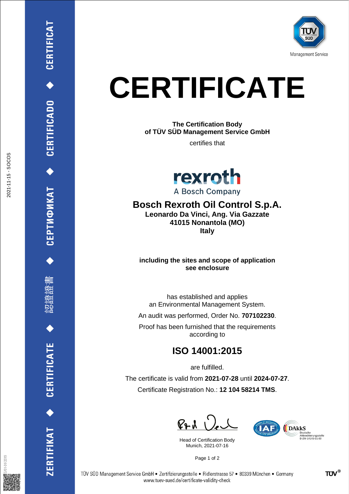

# **CERTIFICATE**

**The Certification Body of TÜV SÜD Management Service GmbH**

certifies that



### **Bosch Rexroth Oil Control S.p.A. Leonardo Da Vinci, Ang. Via Gazzate**

**41015 Nonantola (MO) Italy**

#### **including the sites and scope of application see enclosure**

has established and applies an Environmental Management System.

An audit was performed, Order No. **707102230**.

Proof has been furnished that the requirements according to

## **ISO 14001:2015**

are fulfilled.

The certificate is valid from **2021-07-28** until **2024-07-27**. Certificate Registration No.: **12 104 58214 TMS**. Page 1 of 2 2021<br>
Page 1 of 2 2021<br>
Page 1 of 2021<br>
Page 1 of 2021<br>
Page 1 of 2021<br>
Page 1 of 2021<br>
Proof has been furnished and Environmental Management, One of the Society<br>
Proof has been furnished and according<br>
Proof

Head of Certification Body Munich, 2021-07-16



•••••••••

 $-01/2019$ 

TÜV SÜD Management Service GmbH · Zertifizierungsstelle · Ridlerstrasse 57 · 80339 München · Germany www.tuev-sued.de/certificate-validity-check